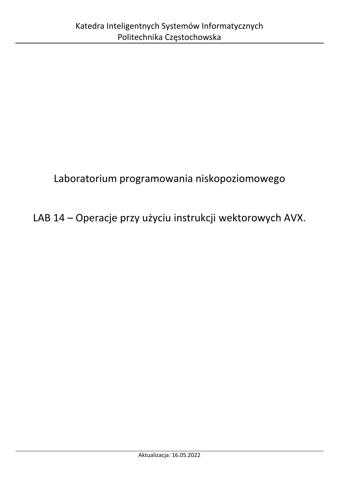# Laboratorium programowania niskopoziomowego

# LAB 14 – Operacje przy użyciu instrukcji wektorowych AVX.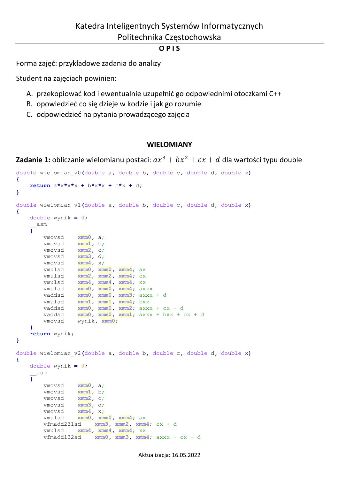#### **O P I S**

Forma zajęć: przykładowe zadania do analizy

Student na zajęciach powinien:

- A. przekopiować kod i ewentualnie uzupełnić go odpowiednimi otoczkami C++
- B. opowiedzieć co się dzieje w kodzie i jak go rozumie
- C. odpowiedzieć na pytania prowadzącego zajęcia

#### **WIELOMIANY**

**Zadanie 1:** obliczanie wielomianu postaci:  $ax^3 + bx^2 + cx + d$  dla wartości typu double

```
double wielomian_v0(double a, double b, double c, double d, double x)
{
    return a*x*x*x + b*x*x + c*x + d;
}
double wielomian_v1(double a, double b, double c, double d, double x)
{
    double wynik = 0;
     __asm
    {
        vmovsd xmm0, a;
       vmovsd xmm1, b;
       vmovsd xmm2, c;
       vmovsd xmm3, d;
       vmovsd xmm4, x;
       vmulsd xmm0, xmm0, xmm4; ax
       vmulsd xmm2, xmm2, xmm4; cx
       vmulsd xmm4, xmm4, xmm4; xx
 vmulsd xmm0, xmm0, xmm4; axxx
 vaddsd xmm0, xmm0, xmm3; axxx + d
 vmulsd xmm1, xmm1, xmm4; bxx
 vaddsd xmm0, xmm0, xmm2; axxx + cx + d
 vaddsd xmm0, xmm0, xmm1; axxx + bxx + cx + d
 vmovsd wynik, xmm0;
    }
    return wynik;
}
double wielomian_v2(double a, double b, double c, double d, double x)
{
    double wynik = 0;
      __asm
    {
 vmovsd xmm0, a;
 vmovsd xmm1, b;
 vmovsd xmm2, c;
 vmovsd xmm3, d;
 vmovsd xmm4, x;
 vmulsd xmm0, xmm0, xmm4; ax
       vfmadd231sd xmm3, xmm2, xmm4; cx + d
       vmulsd xmm4, xmm4, xmm4; xx
        vfmadd132sd xmm0, xmm3, xmm4; axxx + cx + d
```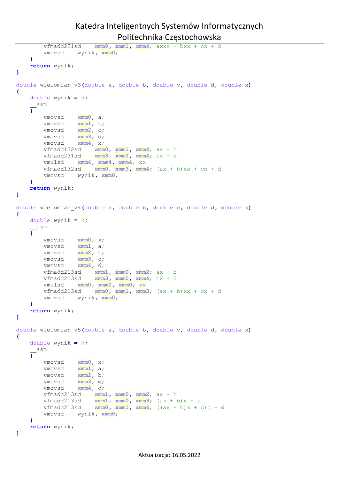```
 vfmadd231sd xmm0, xmm1, xmm4; axxx + bxx + cx + d
        vmovsd wynik, xmm0;
    }
    return wynik;
}
double wielomian_v3(double a, double b, double c, double d, double x)
{
    double wynik = 0;
      __asm
    {
        vmovsd xmm0, a;
 vmovsd xmm1, b;
 vmovsd xmm2, c;
 vmovsd xmm3, d;
 vmovsd xmm4, x;
 vfmadd132sd xmm0, xmm1, xmm4; ax + b
 vfmadd231sd xmm3, xmm2, xmm4; cx + d
        vmulsd xmm4, xmm4, xmm4; xx
        vfmadd132sd xmm0, xmm3, xmm4; (ax + b)xx + cx + d
        vmovsd wynik, xmm0;
    }
    return wynik;
}
double wielomian_v4(double a, double b, double c, double d, double x)
{
    double wynik = 0;
      __asm
    {
        vmovsd xmm0, x;
        vmovsd xmm1, a;
        vmovsd xmm2, b;
 vmovsd xmm3, c;
 vmovsd xmm4, d;
 vfmadd213sd xmm1, xmm0, xmm2; ax + b
 vfmadd213sd xmm3, xmm0, xmm4; cx + d
        vmulsd xmm0, xmm0, xmm0; xx
       vfmadd213sd xmm0, xmm1, xmm3; (ax + b)xx + cx + d
       vmovsd wynik, xmm0;
    }
    return wynik;
}
double wielomian_v5(double a, double b, double c, double d, double x)
{
    double wynik = 0;
     __asm
    {
        vmovsd xmm0, x;
        vmovsd xmm1, a;
        vmovsd xmm2, b;
        vmovsd xmm3, c;
        vmovsd xmm4, d;
        vfmadd213sd xmm1, xmm0, xmm2; ax + b
 vfmadd213sd xmm1, xmm0, xmm3; (ax + b)x + c
 vfmadd213sd xmm0, xmm1, xmm4; ((ax + b)x + c)c + d
        vmovsd wynik, xmm0;
    }
    return wynik;
}
```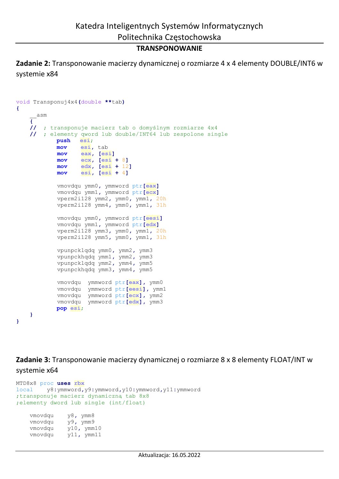#### **TRANSPONOWANIE**

**Zadanie 2:** Transponowanie macierzy dynamicznej o rozmiarze 4 x 4 elementy DOUBLE/INT6 w systemie x84

```
void Transponuj4x4(double **tab)
{
      __asm
     {
     // ; transponuje macierz tab o domyślnym rozmiarze 4x4
     // ; elementy qword lub double/INT64 lub zespolone single
             push esi;
             mov esi, tab
             mov eax, [esi]
             mov ecx, [esi + 8]
             mov edx, [esi + 12]
             mov esi, [esi + 4]
             vmovdqu ymm0, ymmword ptr[eax]
             vmovdqu ymm1, ymmword ptr[ecx]
             vperm2i128 ymm2, ymm0, ymm1, 20h
             vperm2i128 ymm4, ymm0, ymm1, 31h
             vmovdqu ymm0, ymmword ptr[eesi]
             vmovdqu ymm1, ymmword ptr[edx]
             vperm2i128 ymm3, ymm0, ymm1, 20h
             vperm2i128 ymm5, ymm0, ymm1, 31h
             vpunpcklqdq ymm0, ymm2, ymm3
             vpunpckhqdq ymm1, ymm2, ymm3
             vpunpcklqdq ymm2, ymm4, ymm5
             vpunpckhqdq ymm3, ymm4, ymm5
             vmovdqu ymmword ptr[eax], ymm0
             vmovdqu ymmword ptr[eesi], ymm1
             vmovdqu ymmword ptr[ecx], ymm2
             vmovdqu ymmword ptr[edx], ymm3
             pop esi;
     }
}
```
**Zadanie 3:** Transponowanie macierzy dynamicznej o rozmiarze 8 x 8 elementy FLOAT/INT w systemie x64

```
MTD8x8 proc uses rbx
local y8:ymmword,y9:ymmword,y10:ymmword,y11:ymmword
;transponuje macierz dynamiczną tab 8x8
;elementy dword lub single (int/float)
    vmovdqu y8, ymm8
     vmovdqu y9, ymm9
     vmovdqu y10, ymm10
```
vmovdqu y11**,** ymm11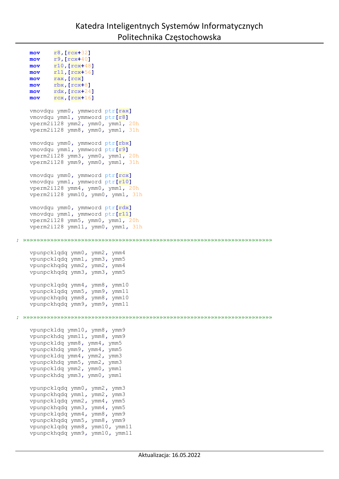```
 mov r8,[rcx+32]
    mov r9,[rcx+40]
    mov r10,[rcx+48]
    mov r11,[rcx+56]
    mov rax,[rcx]
    mov rbx,[rcx+8]
     mov rdx,[rcx+24]
     mov rcx,[rcx+16]
     vmovdqu ymm0, ymmword ptr[rax]
     vmovdqu ymm1, ymmword ptr[r8]
     vperm2i128 ymm2, ymm0, ymm1, 20h
     vperm2i128 ymm8, ymm0, ymm1, 31h
     vmovdqu ymm0, ymmword ptr[rbx]
     vmovdqu ymm1, ymmword ptr[r9]
     vperm2i128 ymm3, ymm0, ymm1, 20h
     vperm2i128 ymm9, ymm0, ymm1, 31h
     vmovdqu ymm0, ymmword ptr[rcx]
     vmovdqu ymm1, ymmword ptr[r10]
     vperm2i128 ymm4, ymm0, ymm1, 20h
     vperm2i128 ymm10, ymm0, ymm1, 31h
     vmovdqu ymm0, ymmword ptr[rdx]
     vmovdqu ymm1, ymmword ptr[r11]
     vperm2i128 ymm5, ymm0, ymm1, 20h
     vperm2i128 ymm11, ymm0, ymm1, 31h
; »»»»»»»»»»»»»»»»»»»»»»»»»»»»»»»»»»»»»»»»»»»»»»»»»»»»»»»»»»»»»»»»»»»»»»»»»
     vpunpcklqdq ymm0, ymm2, ymm4
     vpunpcklqdq ymm1, ymm3, ymm5
     vpunpckhqdq ymm2, ymm2, ymm4
     vpunpckhqdq ymm3, ymm3, ymm5
     vpunpcklqdq ymm4, ymm8, ymm10
     vpunpcklqdq ymm5, ymm9, ymm11
     vpunpckhqdq ymm8, ymm8, ymm10
     vpunpckhqdq ymm9, ymm9, ymm11
; »»»»»»»»»»»»»»»»»»»»»»»»»»»»»»»»»»»»»»»»»»»»»»»»»»»»»»»»»»»»»»»»»»»»»»»»»
     vpunpckldq ymm10, ymm8, ymm9
     vpunpckhdq ymm11, ymm8, ymm9
     vpunpckldq ymm8, ymm4, ymm5
     vpunpckhdq ymm9, ymm4, ymm5
     vpunpckldq ymm4, ymm2, ymm3
     vpunpckhdq ymm5, ymm2, ymm3
     vpunpckldq ymm2, ymm0, ymm1
     vpunpckhdq ymm3, ymm0, ymm1
     vpunpcklqdq ymm0, ymm2, ymm3
     vpunpckhqdq ymm1, ymm2, ymm3
     vpunpcklqdq ymm2, ymm4, ymm5
     vpunpckhqdq ymm3, ymm4, ymm5
     vpunpcklqdq ymm4, ymm8, ymm9
     vpunpckhqdq ymm5, ymm8, ymm9
     vpunpcklqdq ymm8, ymm10, ymm11
     vpunpckhqdq ymm9, ymm10, ymm11
```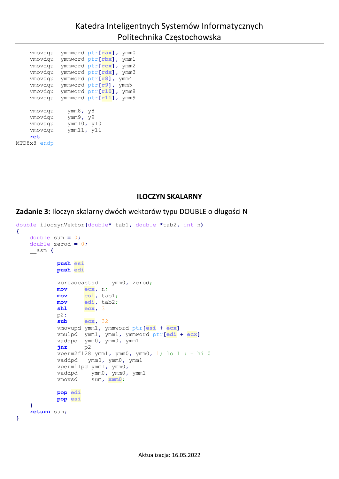vmovdqu ymmword ptr**[rax],** ymm0 vmovdqu ymmword ptr**[rbx],** ymm1 vmovdqu ymmword ptr**[rcx],** ymm2 vmovdqu ymmword ptr**[rdx],** ymm3 vmovdqu ymmword ptr**[r8],** ymm4 vmovdqu ymmword ptr**[r9],** ymm5 vmovdqu ymmword ptr**[r10],** ymm8 vmovdqu ymmword ptr**[r11],** ymm9 vmovdqu ymm8**,** y8 vmovdqu ymm9**,** y9 vmovdqu ymm10**,** y10 vmovdqu ymm11**,** y11 **ret** MTD8x8 endp

#### **ILOCZYN SKALARNY**

**Zadanie 3:** Iloczyn skalarny dwóch wektorów typu DOUBLE o długości N

```
double iloczynVektor(double* tab1, double *tab2, int n)
{
     double sum = 0;
    double zerod = 0;
     __asm {
            push esi
             push edi
             vbroadcastsd ymm0, zerod; 
             mov ecx, n;
             mov esi, tab1; 
             mov edi, tab2; 
             shl ecx, 3
             p2: 
             sub ecx, 32
             vmovupd ymm1, ymmword ptr[esi + ecx]
            vmulpd ymm1, ymm1, ymmword ptr[edi + ecx]
             vaddpd ymm0, ymm0, ymm1
             jnz p2
             vperm2f128 ymm1, ymm0, ymm0, 1; lo 1 : = hi 0
             vaddpd ymm0, ymm0, ymm1
             vpermilpd ymm1, ymm0, 1
             vaddpd ymm0, ymm0, ymm1
             vmovsd sum, xmm0;
             pop edi
             pop esi
     }
     return sum;
}
```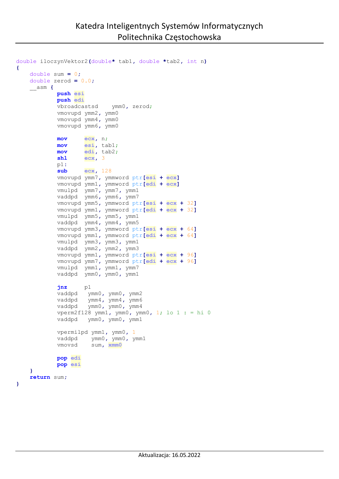```
double iloczynVektor2(double* tab1, double *tab2, int n)
{
    double sum = 0;
    double zerod = 0.0;
    __asm {
            push esi
            push edi
            vbroadcastsd ymm0, zerod;
            vmovupd ymm2, ymm0
            vmovupd ymm4, ymm0
            vmovupd ymm6, ymm0
            mov ecx, n; 
            mov esi, tab1; 
            mov edi, tab2; 
            shl ecx, 3
            p1: 
            sub ecx, 128
            vmovupd ymm7, ymmword ptr[esi + ecx]
            vmovupd ymm1, ymmword ptr[edi + ecx]
            vmulpd ymm7, ymm7, ymm1
            vaddpd ymm6, ymm6, ymm7
            vmovupd ymm5, ymmword ptr[esi + ecx + 32]
            vmovupd ymm1, ymmword ptr[edi + ecx + 32]
            vmulpd ymm5, ymm5, ymm1
            vaddpd ymm4, ymm4, ymm5
            vmovupd ymm3, ymmword ptr[esi + ecx + 64]
            vmovupd ymm1, ymmword ptr[edi + ecx + 64]
            vmulpd ymm3, ymm3, ymm1
            vaddpd ymm2, ymm2, ymm3
            vmovupd ymm1, ymmword ptr[esi + ecx + 96]
            vmovupd ymm7, ymmword ptr[edi + ecx + 96]
            vmulpd ymm1, ymm1, ymm7
            vaddpd ymm0, ymm0, ymm1
 jnz p1
 vaddpd ymm0, ymm0, ymm2
 vaddpd ymm4, ymm4, ymm6
 vaddpd ymm0, ymm0, ymm4
            vperm2f128 ymm1, ymm0, ymm0, 1; lo 1 : = hi 0
            vaddpd ymm0, ymm0, ymm1
            vpermilpd ymm1, ymm0, 1
            vaddpd ymm0, ymm0, ymm1
            vmovsd sum, xmm0
            pop edi
            pop esi
 }
    return sum;
```

```
}
```